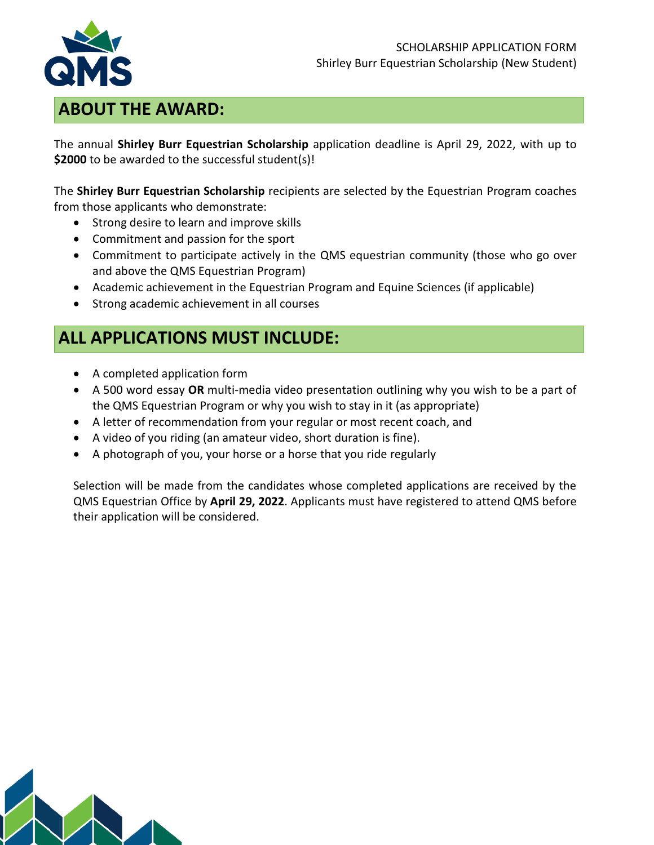

#### SCHOLARSHIP APPLICATION FORM Shirley Burr Equestrian Scholarship (New Student)

#### **ABOUT THE AWARD:**

The annual **Shirley Burr Equestrian Scholarship** application deadline is April 29, 2022, with up to **\$2000** to be awarded to the successful student(s)!

The **Shirley Burr Equestrian Scholarship** recipients are selected by the Equestrian Program coaches from those applicants who demonstrate:

- Strong desire to learn and improve skills
- Commitment and passion for the sport
- Commitment to participate actively in the QMS equestrian community (those who go over and above the QMS Equestrian Program)
- Academic achievement in the Equestrian Program and Equine Sciences (if applicable)
- Strong academic achievement in all courses

# **ALL APPLICATIONS MUST INCLUDE:**

- A completed application form
- A 500 word essay **OR** multi-media video presentation outlining why you wish to be a part of the QMS Equestrian Program or why you wish to stay in it (as appropriate)
- A letter of recommendation from your regular or most recent coach, and
- A video of you riding (an amateur video, short duration is fine).
- A photograph of you, your horse or a horse that you ride regularly

Selection will be made from the candidates whose completed applications are received by the QMS Equestrian Office by **April 29, 2022**. Applicants must have registered to attend QMS before their application will be considered.

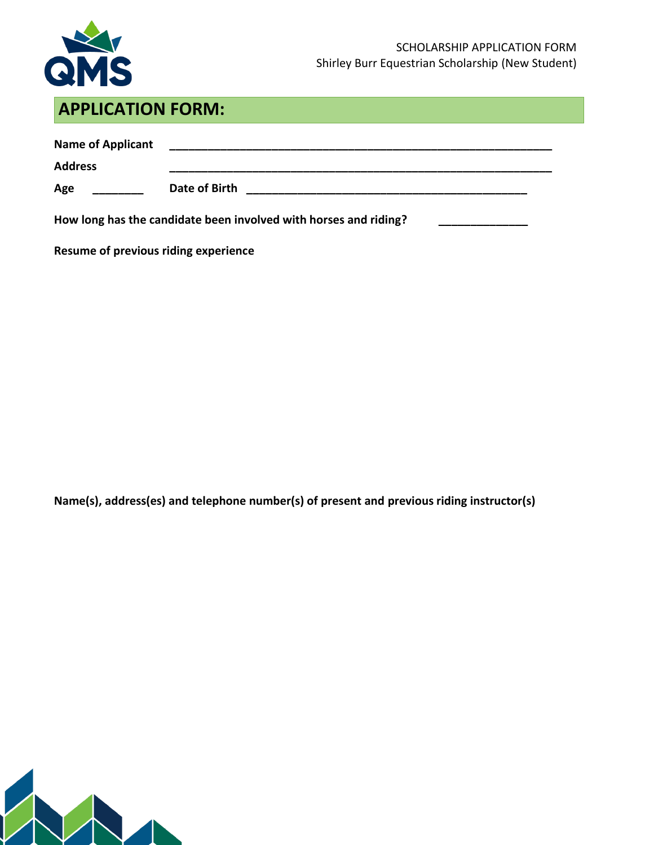

# **APPLICATION FORM:**

| <b>Name of Applicant</b><br><b>Address</b>                       |               |  |  |  |
|------------------------------------------------------------------|---------------|--|--|--|
| Age                                                              | Date of Birth |  |  |  |
| How long has the candidate been involved with horses and riding? |               |  |  |  |

**Resume of previous riding experience**

**Name(s), address(es) and telephone number(s) of present and previous riding instructor(s)** 

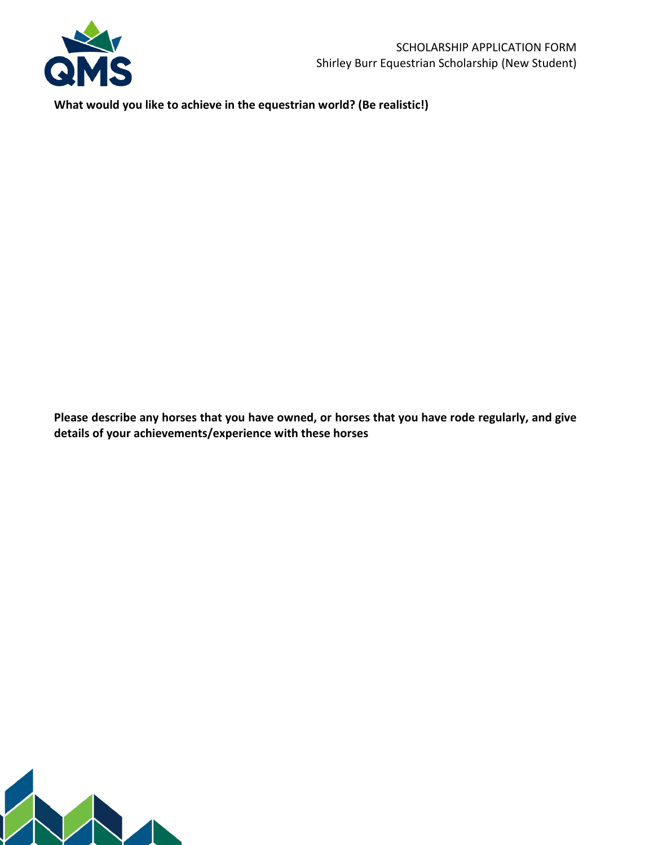

**What would you like to achieve in the equestrian world? (Be realistic!)**

**Please describe any horses that you have owned, or horses that you have rode regularly, and give details of your achievements/experience with these horses**

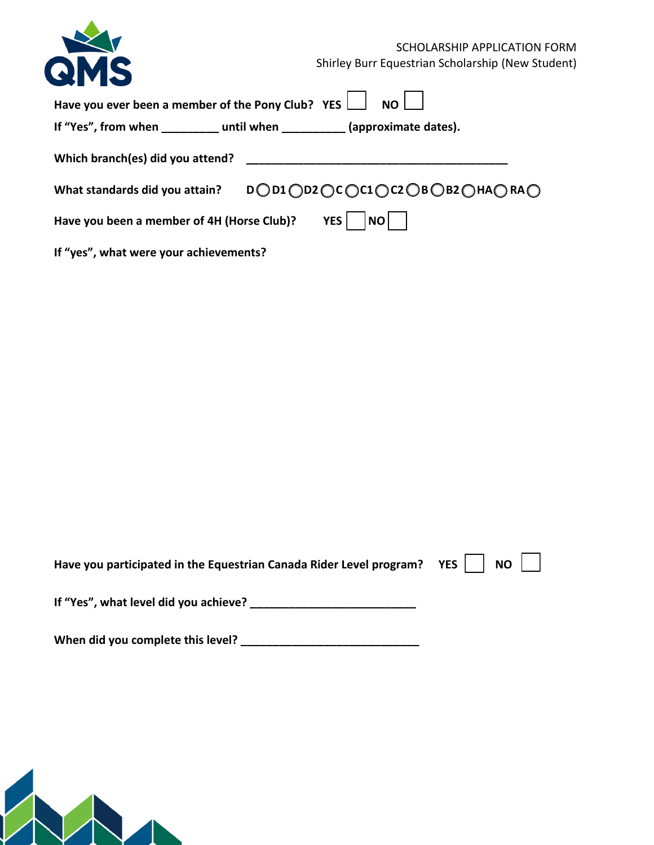|                                                                               | SCHOLARSHIP APPLICATION FORM                      |
|-------------------------------------------------------------------------------|---------------------------------------------------|
| QMS                                                                           | Shirley Burr Equestrian Scholarship (New Student) |
| Have you ever been a member of the Pony Club? YES                             | <b>NO</b>                                         |
| If "Yes", from when ____________ until when ____________ (approximate dates). |                                                   |
| Which branch(es) did you attend?                                              |                                                   |
| What standards did you attain?                                                | DOD1 OD2 OC OC1 OC2 OBOB2 OHAORAO                 |
| Have you been a member of 4H (Horse Club)?                                    | <b>YES</b><br><b>NO</b>                           |
| If "yes", what were your achievements?                                        |                                                   |

| Have you participated in the Equestrian Canada Rider Level program? YES $\parallel$   NO $\parallel$ |  |  |  |  |
|------------------------------------------------------------------------------------------------------|--|--|--|--|
| If "Yes", what level did you achieve?                                                                |  |  |  |  |

**When did you complete this level? \_\_\_\_\_\_\_\_\_\_\_\_\_\_\_\_\_\_\_\_\_\_\_\_\_\_\_\_**